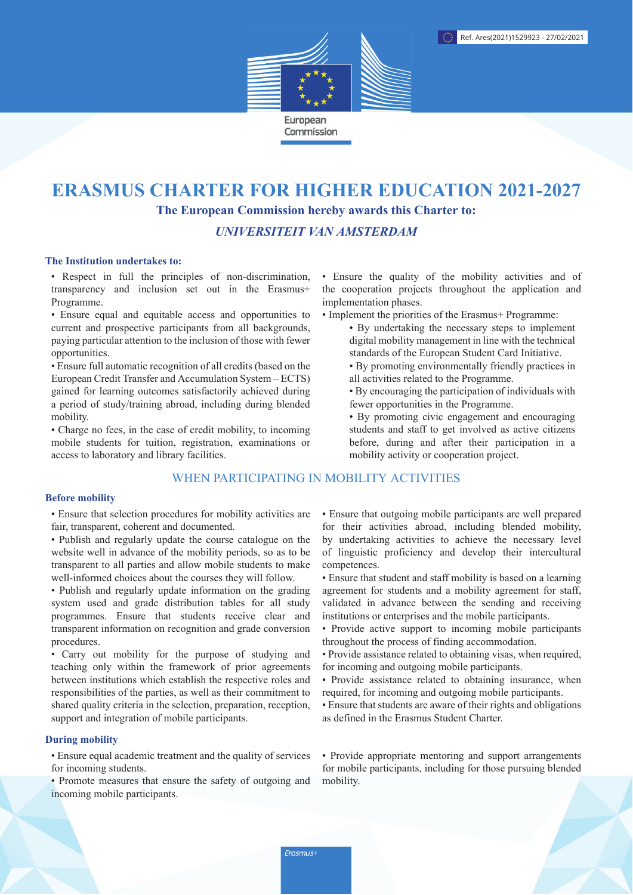

# **ERASMUS CHARTER FOR HIGHER EDUCATION 2021-2027**

The European Commission hereby awards this Charter to:

**UNIVERSITEIT VAN AMSTERDAM** 

## The Institution undertakes to:

• Respect in full the principles of non-discrimination, transparency and inclusion set out in the Erasmus+ Programme.

• Ensure equal and equitable access and opportunities to current and prospective participants from all backgrounds, paying particular attention to the inclusion of those with fewer opportunities.

• Ensure full automatic recognition of all credits (based on the European Credit Transfer and Accumulation System – ECTS) gained for learning outcomes satisfactorily achieved during a period of study/training abroad, including during blended mobility.

• Charge no fees, in the case of credit mobility, to incoming mobile students for tuition, registration, examinations or access to laboratory and library facilities.

## WHEN PARTICIPATING IN MOBILITY ACTIVITIES

## **Before mobility**

• Ensure that selection procedures for mobility activities are fair, transparent, coherent and documented.

- Publish and regularly update the course catalogue on the website well in advance of the mobility periods, so as to be transparent to all parties and allow mobile students to make well-informed choices about the courses they will follow.
- Publish and regularly update information on the grading system used and grade distribution tables for all study programmes. Ensure that students receive clear and transparent information on recognition and grade conversion procedures.

• Carry out mobility for the purpose of studying and teaching only within the framework of prior agreements between institutions which establish the respective roles and responsibilities of the parties, as well as their commitment to shared quality criteria in the selection, preparation, reception. support and integration of mobile participants.

## **During mobility**

• Ensure equal academic treatment and the quality of services for incoming students.

• Promote measures that ensure the safety of outgoing and incoming mobile participants.

• Ensure the quality of the mobility activities and of the cooperation projects throughout the application and implementation phases.

- Implement the priorities of the Erasmus+ Programme:
	- By undertaking the necessary steps to implement digital mobility management in line with the technical standards of the European Student Card Initiative.
	- By promoting environmentally friendly practices in all activities related to the Programme.
	- By encouraging the participation of individuals with fewer opportunities in the Programme.
	- By promoting civic engagement and encouraging students and staff to get involved as active citizens before, during and after their participation in a mobility activity or cooperation project.

• Ensure that outgoing mobile participants are well prepared for their activities abroad, including blended mobility, by undertaking activities to achieve the necessary level of linguistic proficiency and develop their intercultural competences.

- Ensure that student and staff mobility is based on a learning agreement for students and a mobility agreement for staff. validated in advance between the sending and receiving institutions or enterprises and the mobile participants.
- Provide active support to incoming mobile participants throughout the process of finding accommodation.
- Provide assistance related to obtaining visas, when required, for incoming and outgoing mobile participants.
- Provide assistance related to obtaining insurance, when required, for incoming and outgoing mobile participants.
- Ensure that students are aware of their rights and obligations as defined in the Erasmus Student Charter.

• Provide appropriate mentoring and support arrangements for mobile participants, including for those pursuing blended mobility.

Erasmus+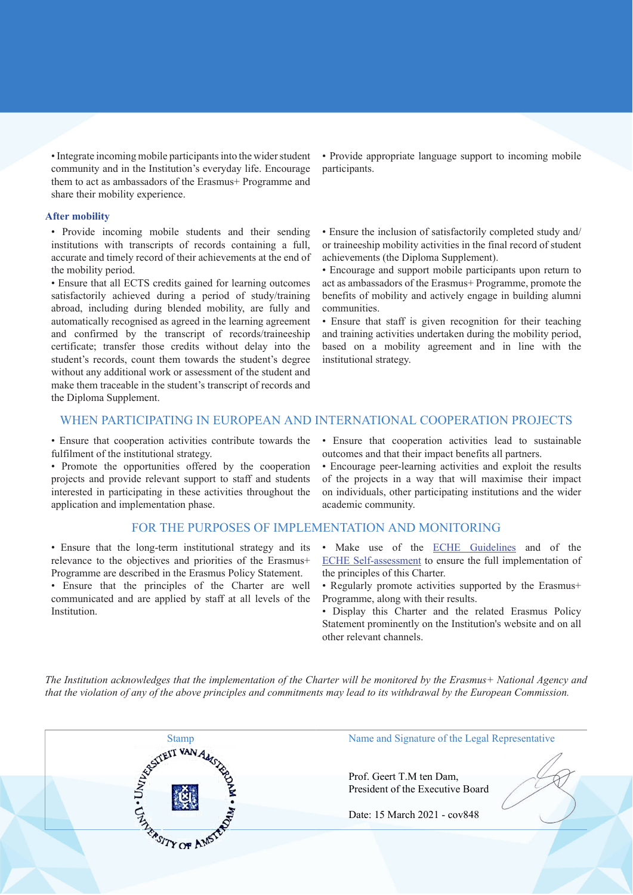• Integrate incoming mobile participants into the wider student community and in the Institution's everyday life. Encourage them to act as ambassadors of the Erasmus+ Programme and share their mobility experience.

#### **After mobility**

• Provide incoming mobile students and their sending institutions with transcripts of records containing a full, accurate and timely record of their achievements at the end of the mobility period.

• Ensure that all ECTS credits gained for learning outcomes satisfactorily achieved during a period of study/training abroad, including during blended mobility, are fully and automatically recognised as agreed in the learning agreement and confirmed by the transcript of records/traineeship certificate; transfer those credits without delay into the student's records, count them towards the student's degree without any additional work or assessment of the student and make them traceable in the student's transcript of records and the Diploma Supplement.

• Provide appropriate language support to incoming mobile participants.

• Ensure the inclusion of satisfactorily completed study and/ or traineeship mobility activities in the final record of student achievements (the Diploma Supplement).

• Encourage and support mobile participants upon return to act as ambassadors of the Erasmus+ Programme, promote the benefits of mobility and actively engage in building alumni communities

• Ensure that staff is given recognition for their teaching and training activities undertaken during the mobility period. based on a mobility agreement and in line with the institutional strategy.

## WHEN PARTICIPATING IN EUROPEAN AND INTERNATIONAL COOPERATION PROJECTS

• Ensure that cooperation activities contribute towards the fulfilment of the institutional strategy.

• Promote the opportunities offered by the cooperation projects and provide relevant support to staff and students interested in participating in these activities throughout the application and implementation phase.

#### FOR THE PURPOSES OF IMPLEMENTATION AND MONITORING

• Ensure that the long-term institutional strategy and its relevance to the objectives and priorities of the Erasmus+ Programme are described in the Erasmus Policy Statement.

· Ensure that the principles of the Charter are well communicated and are applied by staff at all levels of the Institution.

• Ensure that cooperation activities lead to sustainable outcomes and that their impact benefits all partners.

· Encourage peer-learning activities and exploit the results of the projects in a way that will maximise their impact on individuals, other participating institutions and the wider academic community.

- · Make use of the ECHE Guidelines and of the ECHE Self-assessment to ensure the full implementation of the principles of this Charter.
- Regularly promote activities supported by the Erasmus+ Programme, along with their results.
- · Display this Charter and the related Erasmus Policy Statement prominently on the Institution's website and on all other relevant channels.

The Institution acknowledges that the implementation of the Charter will be monitored by the Erasmus+ National Agency and that the violation of any of the above principles and commitments may lead to its withdrawal by the European Commission.